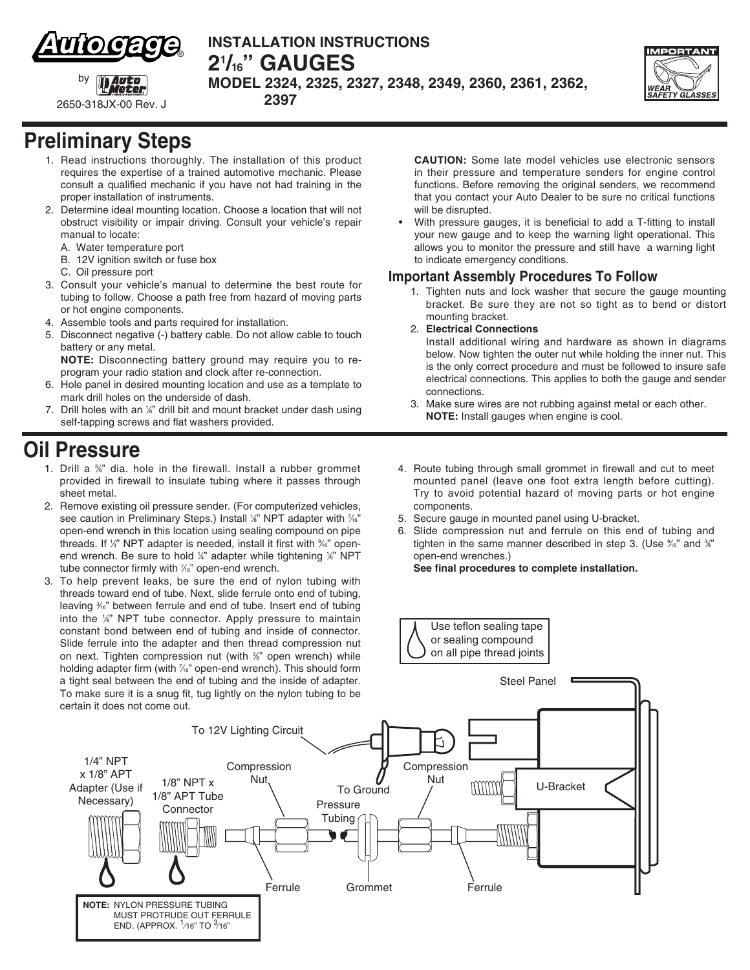

**INSTALLATION INSTRUCTIONS 21 /16" gauges MODEL 2324, 2325, 2327, 2348, 2349, 2360, 2361, 2362,** 



2650-318JX-00 Rev. J

by

# **Preliminary Steps**

1. Read instructions thoroughly. The installation of this product requires the expertise of a trained automotive mechanic. Please consult a qualified mechanic if you have not had training in the proper installation of instruments.

 **2397**

- 2. Determine ideal mounting location. Choose a location that will not obstruct visibility or impair driving. Consult your vehicle's repair manual to locate:
	- A. Water temperature port
	- B. 12V ignition switch or fuse box
	- C. Oil pressure port
- 3. Consult your vehicle's manual to determine the best route for tubing to follow. Choose a path free from hazard of moving parts or hot engine components.
- 4. Assemble tools and parts required for installation.
- 5. Disconnect negative (-) battery cable. Do not allow cable to touch battery or any metal.
- **NOTE:** Disconnecting battery ground may require you to reprogram your radio station and clock after re-connection.
- 6. Hole panel in desired mounting location and use as a template to mark drill holes on the underside of dash.
- 7. Drill holes with an 1/<sub>8</sub>" drill bit and mount bracket under dash using self-tapping screws and flat washers provided.

### **Oil Pressure**

- 1. Drill a <sup>36</sup>" dia. hole in the firewall. Install a rubber grommet provided in firewall to insulate tubing where it passes through sheet metal.
- 2. Remove existing oil pressure sender. (For computerized vehicles, see caution in Preliminary Steps.) Install 1/8" NPT adapter with 7/6" open-end wrench in this location using sealing compound on pipe threads. If 1/<sub>4</sub>" NPT adapter is needed, install it first with %<sup>2</sup> openend wrench. Be sure to hold 1/4" adapter while tightening 1/8" NPT tube connector firmly with <sup>7/6</sup> open-end wrench.
- 3. To help prevent leaks, be sure the end of nylon tubing with threads toward end of tube. Next, slide ferrule onto end of tubing, leaving <sup>3/6</sup> between ferrule and end of tube. Insert end of tubing into the 1/<sub>8</sub>" NPT tube connector. Apply pressure to maintain constant bond between end of tubing and inside of connector. Slide ferrule into the adapter and then thread compression nut on next. Tighten compression nut (with %" open wrench) while holding adapter firm (with 1/6" open-end wrench). This should form a tight seal between the end of tubing and the inside of adapter. To make sure it is a snug fit, tug lightly on the nylon tubing to be certain it does not come out.

**CAUTION:** Some late model vehicles use electronic sensors in their pressure and temperature senders for engine control functions. Before removing the original senders, we recommend that you contact your Auto Dealer to be sure no critical functions will be disrupted.

• With pressure gauges, it is beneficial to add a T-fitting to install your new gauge and to keep the warning light operational. This allows you to monitor the pressure and still have a warning light to indicate emergency conditions.

#### **Important Assembly Procedures To Follow**

- 1. Tighten nuts and lock washer that secure the gauge mounting bracket. Be sure they are not so tight as to bend or distort mounting bracket.
- 2. **Electrical Connections**

Install additional wiring and hardware as shown in diagrams below. Now tighten the outer nut while holding the inner nut. This is the only correct procedure and must be followed to insure safe electrical connections. This applies to both the gauge and sender connections.

- 3. Make sure wires are not rubbing against metal or each other. **NOTE:** Install gauges when engine is cool.
- 4. Route tubing through small grommet in firewall and cut to meet mounted panel (leave one foot extra length before cutting). Try to avoid potential hazard of moving parts or hot engine components.
- 5. Secure gauge in mounted panel using U-bracket.
- 6. Slide compression nut and ferrule on this end of tubing and tighten in the same manner described in step 3. (Use %" and %" open-end wrenches.)

**See final procedures to complete installation.**

Use teflon sealing tape or sealing compound on all pipe thread joints